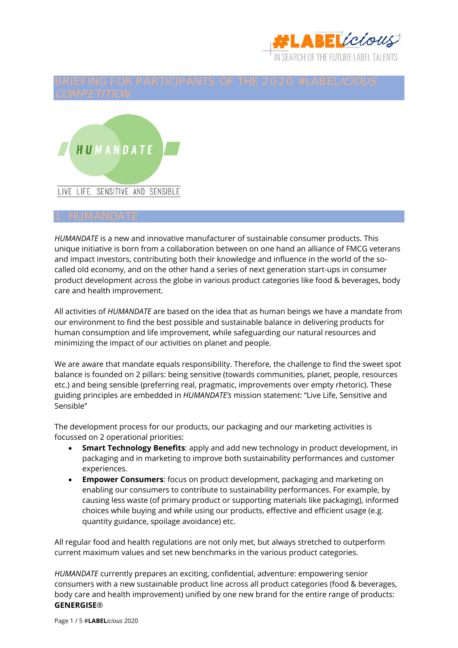



*HUMANDATE* is a new and innovative manufacturer of sustainable consumer products. This unique initiative is born from a collaboration between on one hand an alliance of FMCG veterans and impact investors, contributing both their knowledge and influence in the world of the socalled old economy, and on the other hand a series of next generation start-ups in consumer product development across the globe in various product categories like food & beverages, body care and health improvement.

All activities of *HUMANDATE* are based on the idea that as human beings we have a mandate from our environment to find the best possible and sustainable balance in delivering products for human consumption and life improvement, while safeguarding our natural resources and minimizing the impact of our activities on planet and people.

We are aware that mandate equals responsibility. Therefore, the challenge to find the sweet spot balance is founded on 2 pillars: being sensitive (towards communities, planet, people, resources etc.) and being sensible (preferring real, pragmatic, improvements over empty rhetoric). These guiding principles are embedded in *HUMANDATE's* mission statement: "Live Life, Sensitive and Sensible"

The development process for our products, our packaging and our marketing activities is focussed on 2 operational priorities:

- **Smart Technology Benefits**: apply and add new technology in product development, in packaging and in marketing to improve both sustainability performances and customer experiences.
- **Empower Consumers**: focus on product development, packaging and marketing on enabling our consumers to contribute to sustainability performances. For example, by causing less waste (of primary product or supporting materials like packaging), informed choices while buying and while using our products, effective and efficient usage (e.g. quantity guidance, spoilage avoidance) etc.

All regular food and health regulations are not only met, but always stretched to outperform current maximum values and set new benchmarks in the various product categories.

*HUMANDATE* currently prepares an exciting, confidential, adventure: empowering senior consumers with a new sustainable product line across all product categories (food & beverages, body care and health improvement) unified by one new brand for the entire range of products: **GENERGISE**®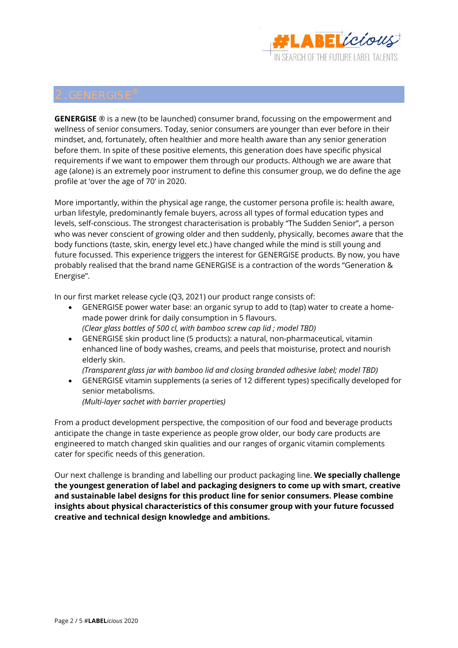

**GENERGISE** ® is a new (to be launched) consumer brand, focussing on the empowerment and wellness of senior consumers. Today, senior consumers are younger than ever before in their mindset, and, fortunately, often healthier and more health aware than any senior generation before them. In spite of these positive elements, this generation does have specific physical requirements if we want to empower them through our products. Although we are aware that age (alone) is an extremely poor instrument to define this consumer group, we do define the age profile at 'over the age of 70' in 2020.

More importantly, within the physical age range, the customer persona profile is: health aware, urban lifestyle, predominantly female buyers, across all types of formal education types and levels, self-conscious. The strongest characterisation is probably "The Sudden Senior", a person who was never conscient of growing older and then suddenly, physically, becomes aware that the body functions (taste, skin, energy level etc.) have changed while the mind is still young and future focussed. This experience triggers the interest for GENERGISE products. By now, you have probably realised that the brand name GENERGISE is a contraction of the words "Generation & Energise".

In our first market release cycle (Q3, 2021) our product range consists of:

- GENERGISE power water base: an organic syrup to add to (tap) water to create a homemade power drink for daily consumption in 5 flavours. *(Clear glass bottles of 500 cl, with bamboo screw cap lid ; model TBD)*
- GENERGISE skin product line (5 products): a natural, non-pharmaceutical, vitamin enhanced line of body washes, creams, and peels that moisturise, protect and nourish elderly skin.

*(Transparent glass jar with bamboo lid and closing branded adhesive label; model TBD)* 

 GENERGISE vitamin supplements (a series of 12 different types) specifically developed for senior metabolisms. *(Multi-layer sachet with barrier properties)* 

From a product development perspective, the composition of our food and beverage products anticipate the change in taste experience as people grow older, our body care products are engineered to match changed skin qualities and our ranges of organic vitamin complements cater for specific needs of this generation.

Our next challenge is branding and labelling our product packaging line. **We specially challenge the youngest generation of label and packaging designers to come up with smart, creative and sustainable label designs for this product line for senior consumers. Please combine insights about physical characteristics of this consumer group with your future focussed creative and technical design knowledge and ambitions.**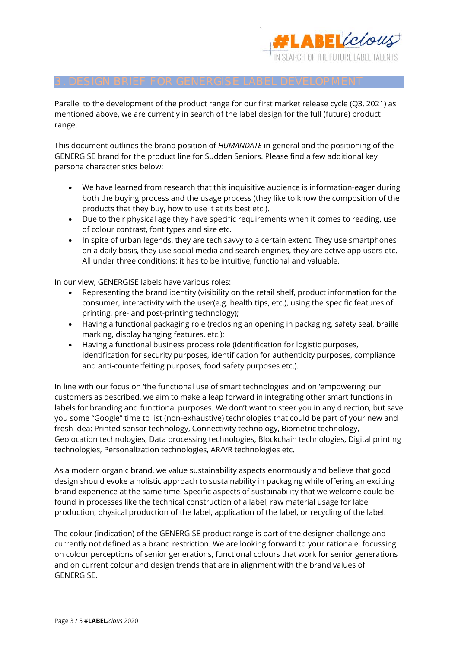

Parallel to the development of the product range for our first market release cycle (Q3, 2021) as mentioned above, we are currently in search of the label design for the full (future) product range.

This document outlines the brand position of *HUMANDATE* in general and the positioning of the GENERGISE brand for the product line for Sudden Seniors. Please find a few additional key persona characteristics below:

- We have learned from research that this inquisitive audience is information-eager during both the buying process and the usage process (they like to know the composition of the products that they buy, how to use it at its best etc.).
- Due to their physical age they have specific requirements when it comes to reading, use of colour contrast, font types and size etc.
- In spite of urban legends, they are tech savvy to a certain extent. They use smartphones on a daily basis, they use social media and search engines, they are active app users etc. All under three conditions: it has to be intuitive, functional and valuable.

In our view, GENERGISE labels have various roles:

- Representing the brand identity (visibility on the retail shelf, product information for the consumer, interactivity with the user(e.g. health tips, etc.), using the specific features of printing, pre- and post-printing technology);
- Having a functional packaging role (reclosing an opening in packaging, safety seal, braille marking, display hanging features, etc.);
- Having a functional business process role (identification for logistic purposes, identification for security purposes, identification for authenticity purposes, compliance and anti-counterfeiting purposes, food safety purposes etc.).

In line with our focus on 'the functional use of smart technologies' and on 'empowering' our customers as described, we aim to make a leap forward in integrating other smart functions in labels for branding and functional purposes. We don't want to steer you in any direction, but save you some "Google" time to list (non-exhaustive) technologies that could be part of your new and fresh idea: Printed sensor technology, Connectivity technology, Biometric technology, Geolocation technologies, Data processing technologies, Blockchain technologies, Digital printing technologies, Personalization technologies, AR/VR technologies etc.

As a modern organic brand, we value sustainability aspects enormously and believe that good design should evoke a holistic approach to sustainability in packaging while offering an exciting brand experience at the same time. Specific aspects of sustainability that we welcome could be found in processes like the technical construction of a label, raw material usage for label production, physical production of the label, application of the label, or recycling of the label.

The colour (indication) of the GENERGISE product range is part of the designer challenge and currently not defined as a brand restriction. We are looking forward to your rationale, focussing on colour perceptions of senior generations, functional colours that work for senior generations and on current colour and design trends that are in alignment with the brand values of GENERGISE.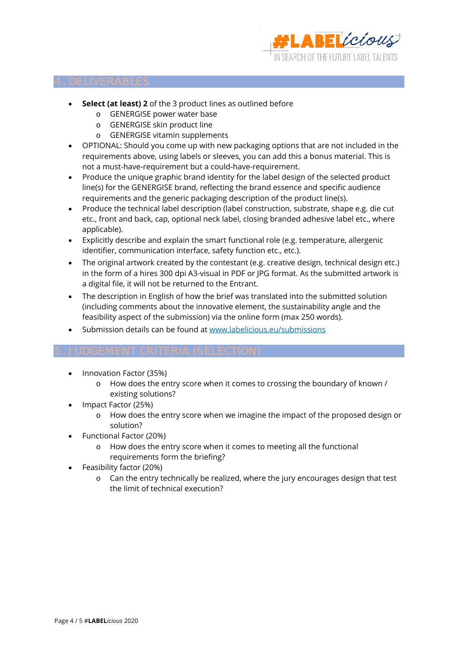

- **Select (at least) 2** of the 3 product lines as outlined before
	- o GENERGISE power water base
	- o GENERGISE skin product line
	- o GENERGISE vitamin supplements
- OPTIONAL: Should you come up with new packaging options that are not included in the requirements above, using labels or sleeves, you can add this a bonus material. This is not a must-have-requirement but a could-have-requirement.
- Produce the unique graphic brand identity for the label design of the selected product line(s) for the GENERGISE brand, reflecting the brand essence and specific audience requirements and the generic packaging description of the product line(s).
- Produce the technical label description (label construction, substrate, shape e.g. die cut etc., front and back, cap, optional neck label, closing branded adhesive label etc., where applicable).
- Explicitly describe and explain the smart functional role (e.g. temperature, allergenic identifier, communication interface, safety function etc., etc.).
- The original artwork created by the contestant (e.g. creative design, technical design etc.) in the form of a hires 300 dpi A3-visual in PDF or JPG format. As the submitted artwork is a digital file, it will not be returned to the Entrant.
- The description in English of how the brief was translated into the submitted solution (including comments about the innovative element, the sustainability angle and the feasibility aspect of the submission) via the online form (max 250 words).
- Submission details can be found at www.labelicious.eu/submissions

- Innovation Factor (35%)
	- o How does the entry score when it comes to crossing the boundary of known / existing solutions?
- Impact Factor (25%)
	- o How does the entry score when we imagine the impact of the proposed design or solution?
- Functional Factor (20%)
	- o How does the entry score when it comes to meeting all the functional requirements form the briefing?
- Feasibility factor (20%)
	- o Can the entry technically be realized, where the jury encourages design that test the limit of technical execution?